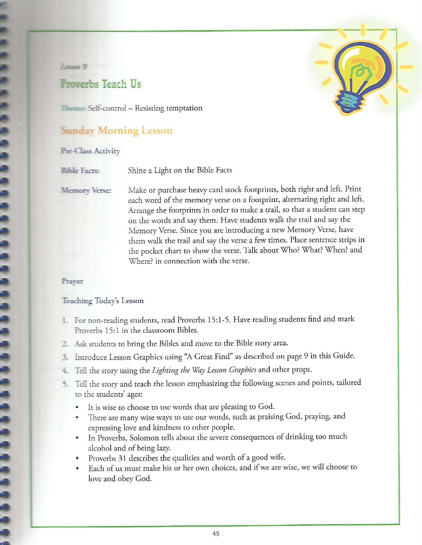**Leventer** 

# **Proverbs Teach Us**

Theme: Self-control - Resisting temptation

## **Sunday Morning Lesson**

#### **Pre-Class Activity**

**Bible Facts:** Shine a Light on the Bible Facts

**Memory Verse:** 

Make or purchase heavy card stock footprints, both right and left. Print each word of the memory verse on a footprint, alternating right and left. Arrange the footprints in order to make a trail, so that a student can step on the words and say them. Have students walk the trail and say the Memory Verse. Since you are introducing a new Memory Verse, have them walk the trail and say the verse a few times. Place sentence strips in the pocket chart to show the verse. Talk about Who? What? When? and Where? in connection with the verse.

#### Prayer

#### Teaching Today's Lesson

- 1. For non-reading students, read Proverbs 15:1-5. Have reading students find and mark Proverbs 15:1 in the classroom Bibles.
- 2. Ask students to bring the Bibles and move to the Bible story area.
- 3. Introduce Lesson Graphics using "A Great Find" as described on page 9 in this Guide.
- 4. Tell the story using the Lighting the Way Lesson Graphics and other props.
- 5. Tell the story and teach the lesson emphasizing the following scenes and points, tailored to the students' ages:
	- It is wise to choose to use words that are pleasing to God.
	- There are many wise ways to use our words, such as praising God, praying, and  $\bullet$ expressing love and kindness to other people.
	- In Proverbs, Solomon tells about the severe consequences of drinking too much alcohol and of being lazy.
	- Proverbs 31 describes the qualities and worth of a good wife.
	- Each of us must make his or her own choices, and if we are wise, we will choose to  $\bullet$ love and obey God.

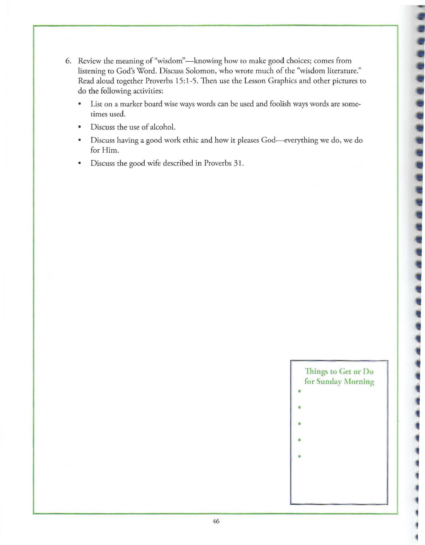- 6. Review the meaning of "wisdom"-knowing how to make good choices; comes from listening to God's Word. Discuss Solomon, who wrote much of the "wisdom literature." Read aloud together Proverbs 15:1-5. Then use the Lesson Graphics and other pictures to do the following activities:
	- List on a marker board wise ways words can be used and foolish ways words are sometimes used.
	- Discuss the use of alcohol.
	- Discuss having a good work ethic and how it pleases God-everything we do, we do for Him.
	- Discuss the good wife described in Proverbs 31.

• **"Jhings to Get or Do for Sunday Morning** 

- I •
- $\overline{\phantom{a}}$
- •
- $\vert \cdot \vert$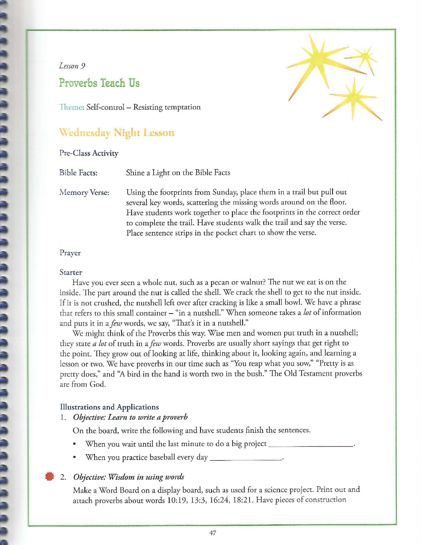#### *Lesson 9*

# **Proverbs Teach Us**

Theme: Self-control - Resisting temptation

## **Wednesday Night Lesson**

#### Pre-Class Activity

Bible Facts: Shine a Light on the Bible Facts

Memory Verse:

Using the footprints from Sunday, place them in a trail but pull out several key words, scattering the missing words around on the floor. Have students work together to place the footprints in the correct order to complete the trail. Have students walk the trail and say the verse. Place sentence strips in the pocket chart to show the verse.

#### Prayer

#### **Starter**

Have you ever seen a whole nut, such as a pecan or walnut? The nut we eat is on the inside. The part around the nut is called the shell. We crack the shell to get to the nut inside. If it is not crushed, the nutshell left over after cracking is like a small bowl. We have a phrase that refers to this small container - "in a nutshell." When someone takes a *lot* of information and puts it in a *few* words, we say, "Thar's it in a nutshell."

We might think of the Proverbs this way. Wise men and women put truth in a nutshell; they state *a lot* of truth in a *few* words. Proverbs are usually short sayings that get right to the point. They grow out of looking at life, thinking about it, looking again, and learning a lesson or two. We have proverbs in our time such as "You reap what you sow," "Pretty is as pretty does," and "A bird **in** the hand is worth two in the bush." The Old Testament proverbs are from God.

#### **Illustrations and Applications**

#### 1. *Objective: Learn to write a proverb*

On the board, write the following and have students finish the sentences.

- When you wait until the last minute to do a big project \_
- When you practice baseball every day \_\_\_\_\_

#### • 2. *Objective: Wisdom in using words*

Make a Word Board on a display board, such as used for a science project. Print out and attach proverbs about words 10:19, 13:3, 16:24, 18:21. Have pieces of construction